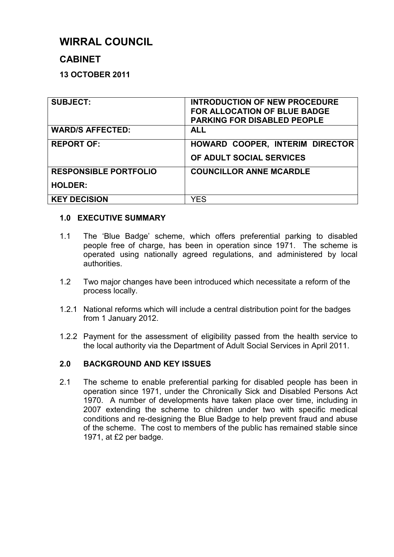# **WIRRAL COUNCIL**

## **CABINET**

## **13 OCTOBER 2011**

| <b>SUBJECT:</b>              | <b>INTRODUCTION OF NEW PROCEDURE</b><br><b>FOR ALLOCATION OF BLUE BADGE</b><br><b>PARKING FOR DISABLED PEOPLE</b> |
|------------------------------|-------------------------------------------------------------------------------------------------------------------|
| <b>WARD/S AFFECTED:</b>      | <b>ALL</b>                                                                                                        |
| <b>REPORT OF:</b>            | HOWARD COOPER, INTERIM DIRECTOR<br>OF ADULT SOCIAL SERVICES                                                       |
| <b>RESPONSIBLE PORTFOLIO</b> | <b>COUNCILLOR ANNE MCARDLE</b>                                                                                    |
| <b>HOLDER:</b>               |                                                                                                                   |
| <b>KEY DECISION</b>          | YES                                                                                                               |

## **1.0 EXECUTIVE SUMMARY**

- 1.1 The 'Blue Badge' scheme, which offers preferential parking to disabled people free of charge, has been in operation since 1971. The scheme is operated using nationally agreed regulations, and administered by local authorities.
- 1.2 Two major changes have been introduced which necessitate a reform of the process locally.
- 1.2.1 National reforms which will include a central distribution point for the badges from 1 January 2012.
- 1.2.2 Payment for the assessment of eligibility passed from the health service to the local authority via the Department of Adult Social Services in April 2011.

## **2.0 BACKGROUND AND KEY ISSUES**

2.1 The scheme to enable preferential parking for disabled people has been in operation since 1971, under the Chronically Sick and Disabled Persons Act 1970. A number of developments have taken place over time, including in 2007 extending the scheme to children under two with specific medical conditions and re-designing the Blue Badge to help prevent fraud and abuse of the scheme. The cost to members of the public has remained stable since 1971, at £2 per badge.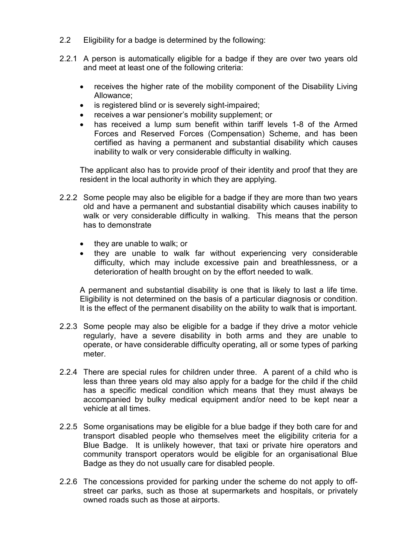- 2.2 Eligibility for a badge is determined by the following:
- 2.2.1 A person is automatically eligible for a badge if they are over two years old and meet at least one of the following criteria:
	- receives the higher rate of the mobility component of the Disability Living Allowance;
	- is registered blind or is severely sight-impaired;
	- receives a war pensioner's mobility supplement; or
	- has received a lump sum benefit within tariff levels 1-8 of the Armed Forces and Reserved Forces (Compensation) Scheme, and has been certified as having a permanent and substantial disability which causes inability to walk or very considerable difficulty in walking.

The applicant also has to provide proof of their identity and proof that they are resident in the local authority in which they are applying.

- 2.2.2 Some people may also be eligible for a badge if they are more than two years old and have a permanent and substantial disability which causes inability to walk or very considerable difficulty in walking. This means that the person has to demonstrate
	- they are unable to walk; or
	- they are unable to walk far without experiencing very considerable difficulty, which may include excessive pain and breathlessness, or a deterioration of health brought on by the effort needed to walk.

A permanent and substantial disability is one that is likely to last a life time. Eligibility is not determined on the basis of a particular diagnosis or condition. It is the effect of the permanent disability on the ability to walk that is important.

- 2.2.3 Some people may also be eligible for a badge if they drive a motor vehicle regularly, have a severe disability in both arms and they are unable to operate, or have considerable difficulty operating, all or some types of parking meter.
- 2.2.4 There are special rules for children under three. A parent of a child who is less than three years old may also apply for a badge for the child if the child has a specific medical condition which means that they must always be accompanied by bulky medical equipment and/or need to be kept near a vehicle at all times.
- 2.2.5 Some organisations may be eligible for a blue badge if they both care for and transport disabled people who themselves meet the eligibility criteria for a Blue Badge. It is unlikely however, that taxi or private hire operators and community transport operators would be eligible for an organisational Blue Badge as they do not usually care for disabled people.
- 2.2.6 The concessions provided for parking under the scheme do not apply to offstreet car parks, such as those at supermarkets and hospitals, or privately owned roads such as those at airports.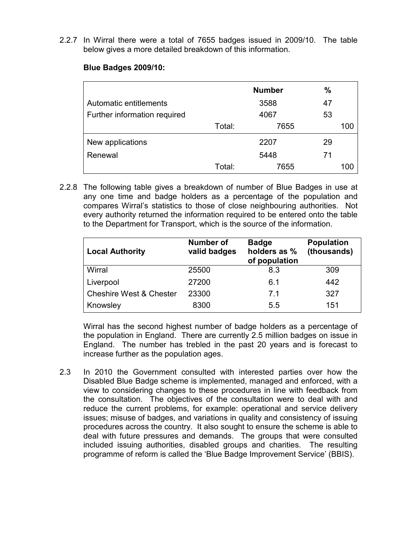2.2.7 In Wirral there were a total of 7655 badges issued in 2009/10. The table below gives a more detailed breakdown of this information.

#### **Blue Badges 2009/10:**

|                              |        | <b>Number</b> | $\%$ |     |
|------------------------------|--------|---------------|------|-----|
| Automatic entitlements       |        | 3588          | 47   |     |
| Further information required | 4067   |               | 53   |     |
|                              | Total: | 7655          |      | 100 |
| New applications             |        | 2207          | 29   |     |
| Renewal                      |        | 5448          | 71   |     |
|                              | Total: | 7655          |      | 100 |

2.2.8 The following table gives a breakdown of number of Blue Badges in use at any one time and badge holders as a percentage of the population and compares Wirral's statistics to those of close neighbouring authorities. Not every authority returned the information required to be entered onto the table to the Department for Transport, which is the source of the information.

| <b>Local Authority</b>             | Number of<br>valid badges | <b>Badge</b><br>holders as %<br>of population | <b>Population</b><br>(thousands) |
|------------------------------------|---------------------------|-----------------------------------------------|----------------------------------|
| Wirral                             | 25500                     | 8.3                                           | 309                              |
| Liverpool                          | 27200                     | 6.1                                           | 442                              |
| <b>Cheshire West &amp; Chester</b> | 23300                     | 71                                            | 327                              |
| Knowsley                           | 8300                      | 5.5                                           | 151                              |

 Wirral has the second highest number of badge holders as a percentage of the population in England. There are currently 2.5 million badges on issue in England. The number has trebled in the past 20 years and is forecast to increase further as the population ages.

2.3 In 2010 the Government consulted with interested parties over how the Disabled Blue Badge scheme is implemented, managed and enforced, with a view to considering changes to these procedures in line with feedback from the consultation. The objectives of the consultation were to deal with and reduce the current problems, for example: operational and service delivery issues; misuse of badges, and variations in quality and consistency of issuing procedures across the country. It also sought to ensure the scheme is able to deal with future pressures and demands. The groups that were consulted included issuing authorities, disabled groups and charities. The resulting programme of reform is called the 'Blue Badge Improvement Service' (BBIS).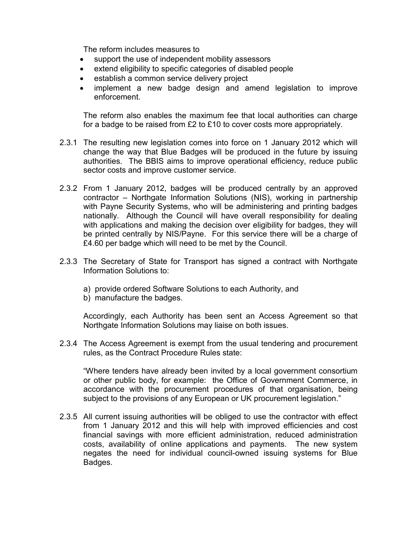The reform includes measures to

- support the use of independent mobility assessors
- extend eligibility to specific categories of disabled people
- establish a common service delivery project
- implement a new badge design and amend legislation to improve enforcement.

 The reform also enables the maximum fee that local authorities can charge for a badge to be raised from £2 to £10 to cover costs more appropriately.

- 2.3.1 The resulting new legislation comes into force on 1 January 2012 which will change the way that Blue Badges will be produced in the future by issuing authorities. The BBIS aims to improve operational efficiency, reduce public sector costs and improve customer service.
- 2.3.2 From 1 January 2012, badges will be produced centrally by an approved contractor – Northgate Information Solutions (NIS), working in partnership with Payne Security Systems, who will be administering and printing badges nationally. Although the Council will have overall responsibility for dealing with applications and making the decision over eligibility for badges, they will be printed centrally by NIS/Payne. For this service there will be a charge of £4.60 per badge which will need to be met by the Council.
- 2.3.3 The Secretary of State for Transport has signed a contract with Northgate Information Solutions to:
	- a) provide ordered Software Solutions to each Authority, and
	- b) manufacture the badges.

 Accordingly, each Authority has been sent an Access Agreement so that Northgate Information Solutions may liaise on both issues.

2.3.4 The Access Agreement is exempt from the usual tendering and procurement rules, as the Contract Procedure Rules state:

 "Where tenders have already been invited by a local government consortium or other public body, for example: the Office of Government Commerce, in accordance with the procurement procedures of that organisation, being subject to the provisions of any European or UK procurement legislation."

2.3.5 All current issuing authorities will be obliged to use the contractor with effect from 1 January 2012 and this will help with improved efficiencies and cost financial savings with more efficient administration, reduced administration costs, availability of online applications and payments. The new system negates the need for individual council-owned issuing systems for Blue Badges.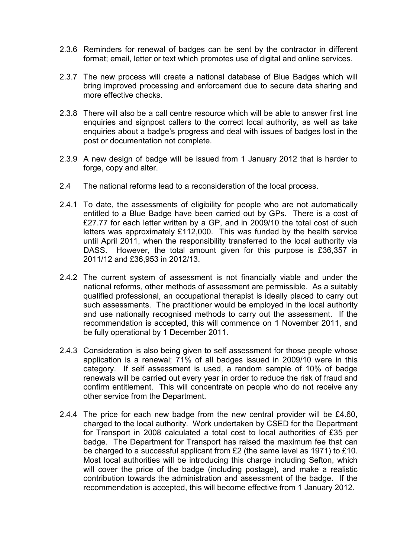- 2.3.6 Reminders for renewal of badges can be sent by the contractor in different format; email, letter or text which promotes use of digital and online services.
- 2.3.7 The new process will create a national database of Blue Badges which will bring improved processing and enforcement due to secure data sharing and more effective checks.
- 2.3.8 There will also be a call centre resource which will be able to answer first line enquiries and signpost callers to the correct local authority, as well as take enquiries about a badge's progress and deal with issues of badges lost in the post or documentation not complete.
- 2.3.9 A new design of badge will be issued from 1 January 2012 that is harder to forge, copy and alter.
- 2.4 The national reforms lead to a reconsideration of the local process.
- 2.4.1 To date, the assessments of eligibility for people who are not automatically entitled to a Blue Badge have been carried out by GPs. There is a cost of £27.77 for each letter written by a GP, and in 2009/10 the total cost of such letters was approximately £112,000. This was funded by the health service until April 2011, when the responsibility transferred to the local authority via DASS. However, the total amount given for this purpose is £36,357 in 2011/12 and £36,953 in 2012/13.
- 2.4.2 The current system of assessment is not financially viable and under the national reforms, other methods of assessment are permissible. As a suitably qualified professional, an occupational therapist is ideally placed to carry out such assessments. The practitioner would be employed in the local authority and use nationally recognised methods to carry out the assessment. If the recommendation is accepted, this will commence on 1 November 2011, and be fully operational by 1 December 2011.
- 2.4.3 Consideration is also being given to self assessment for those people whose application is a renewal; 71% of all badges issued in 2009/10 were in this category. If self assessment is used, a random sample of 10% of badge renewals will be carried out every year in order to reduce the risk of fraud and confirm entitlement. This will concentrate on people who do not receive any other service from the Department.
- 2.4.4 The price for each new badge from the new central provider will be £4.60, charged to the local authority. Work undertaken by CSED for the Department for Transport in 2008 calculated a total cost to local authorities of £35 per badge. The Department for Transport has raised the maximum fee that can be charged to a successful applicant from £2 (the same level as 1971) to £10. Most local authorities will be introducing this charge including Sefton, which will cover the price of the badge (including postage), and make a realistic contribution towards the administration and assessment of the badge. If the recommendation is accepted, this will become effective from 1 January 2012.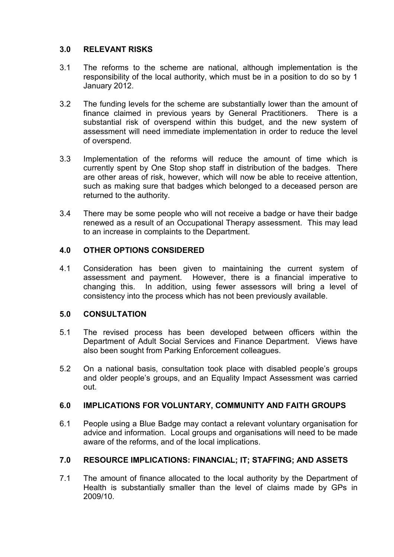## **3.0 RELEVANT RISKS**

- 3.1 The reforms to the scheme are national, although implementation is the responsibility of the local authority, which must be in a position to do so by 1 January 2012.
- 3.2 The funding levels for the scheme are substantially lower than the amount of finance claimed in previous years by General Practitioners. There is a substantial risk of overspend within this budget, and the new system of assessment will need immediate implementation in order to reduce the level of overspend.
- 3.3 Implementation of the reforms will reduce the amount of time which is currently spent by One Stop shop staff in distribution of the badges. There are other areas of risk, however, which will now be able to receive attention, such as making sure that badges which belonged to a deceased person are returned to the authority.
- 3.4 There may be some people who will not receive a badge or have their badge renewed as a result of an Occupational Therapy assessment. This may lead to an increase in complaints to the Department.

## **4.0 OTHER OPTIONS CONSIDERED**

4.1 Consideration has been given to maintaining the current system of assessment and payment. However, there is a financial imperative to changing this. In addition, using fewer assessors will bring a level of consistency into the process which has not been previously available.

## **5.0 CONSULTATION**

- 5.1 The revised process has been developed between officers within the Department of Adult Social Services and Finance Department. Views have also been sought from Parking Enforcement colleagues.
- 5.2 On a national basis, consultation took place with disabled people's groups and older people's groups, and an Equality Impact Assessment was carried out.

## **6.0 IMPLICATIONS FOR VOLUNTARY, COMMUNITY AND FAITH GROUPS**

6.1 People using a Blue Badge may contact a relevant voluntary organisation for advice and information. Local groups and organisations will need to be made aware of the reforms, and of the local implications.

## **7.0 RESOURCE IMPLICATIONS: FINANCIAL; IT; STAFFING; AND ASSETS**

7.1 The amount of finance allocated to the local authority by the Department of Health is substantially smaller than the level of claims made by GPs in 2009/10.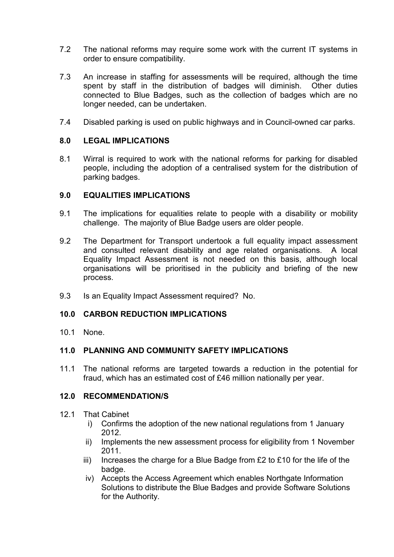- 7.2 The national reforms may require some work with the current IT systems in order to ensure compatibility.
- 7.3 An increase in staffing for assessments will be required, although the time spent by staff in the distribution of badges will diminish. Other duties connected to Blue Badges, such as the collection of badges which are no longer needed, can be undertaken.
- 7.4 Disabled parking is used on public highways and in Council-owned car parks.

#### **8.0 LEGAL IMPLICATIONS**

8.1 Wirral is required to work with the national reforms for parking for disabled people, including the adoption of a centralised system for the distribution of parking badges.

#### **9.0 EQUALITIES IMPLICATIONS**

- 9.1 The implications for equalities relate to people with a disability or mobility challenge. The majority of Blue Badge users are older people.
- 9.2 The Department for Transport undertook a full equality impact assessment and consulted relevant disability and age related organisations. A local Equality Impact Assessment is not needed on this basis, although local organisations will be prioritised in the publicity and briefing of the new process.
- 9.3 Is an Equality Impact Assessment required? No.

#### **10.0 CARBON REDUCTION IMPLICATIONS**

10.1 None.

#### **11.0 PLANNING AND COMMUNITY SAFETY IMPLICATIONS**

11.1 The national reforms are targeted towards a reduction in the potential for fraud, which has an estimated cost of £46 million nationally per year.

#### **12.0 RECOMMENDATION/S**

- 12.1 That Cabinet
	- i) Confirms the adoption of the new national regulations from 1 January 2012.
	- ii) Implements the new assessment process for eligibility from 1 November 2011.
	- $iii)$  Increases the charge for a Blue Badge from £2 to £10 for the life of the badge.
	- iv) Accepts the Access Agreement which enables Northgate Information Solutions to distribute the Blue Badges and provide Software Solutions for the Authority.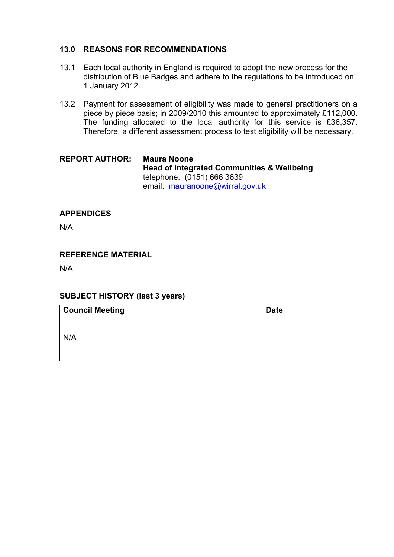## **13.0 REASONS FOR RECOMMENDATIONS**

- 13.1 Each local authority in England is required to adopt the new process for the distribution of Blue Badges and adhere to the regulations to be introduced on 1 January 2012.
- 13.2 Payment for assessment of eligibility was made to general practitioners on a piece by piece basis; in 2009/2010 this amounted to approximately £112,000. The funding allocated to the local authority for this service is £36,357. Therefore, a different assessment process to test eligibility will be necessary.

#### **REPORT AUTHOR: Maura Noone Head of Integrated Communities & Wellbeing** telephone: (0151) 666 3639 email: mauranoone@wirral.gov.uk

## **APPENDICES**

N/A

## **REFERENCE MATERIAL**

N/A

## **SUBJECT HISTORY (last 3 years)**

| <b>Council Meeting</b> | <b>Date</b> |
|------------------------|-------------|
| N/A                    |             |
|                        |             |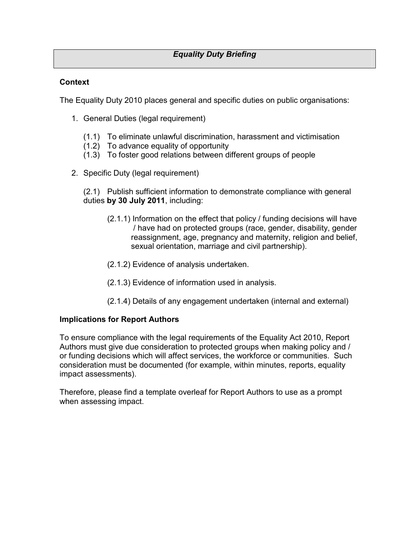## *Equality Duty Briefing*

### **Context**

The Equality Duty 2010 places general and specific duties on public organisations:

- 1. General Duties (legal requirement)
	- (1.1) To eliminate unlawful discrimination, harassment and victimisation
	- (1.2) To advance equality of opportunity
	- (1.3) To foster good relations between different groups of people
- 2. Specific Duty (legal requirement)

(2.1) Publish sufficient information to demonstrate compliance with general duties **by 30 July 2011**, including:

- (2.1.1) Information on the effect that policy / funding decisions will have / have had on protected groups (race, gender, disability, gender reassignment, age, pregnancy and maternity, religion and belief, sexual orientation, marriage and civil partnership).
- (2.1.2) Evidence of analysis undertaken.
- (2.1.3) Evidence of information used in analysis.
- (2.1.4) Details of any engagement undertaken (internal and external)

#### **Implications for Report Authors**

To ensure compliance with the legal requirements of the Equality Act 2010, Report Authors must give due consideration to protected groups when making policy and / or funding decisions which will affect services, the workforce or communities. Such consideration must be documented (for example, within minutes, reports, equality impact assessments).

Therefore, please find a template overleaf for Report Authors to use as a prompt when assessing impact.